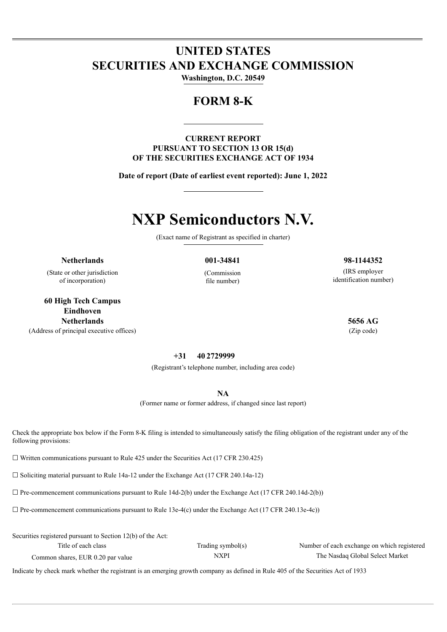# **UNITED STATES SECURITIES AND EXCHANGE COMMISSION**

**Washington, D.C. 20549**

## **FORM 8-K**

## **CURRENT REPORT PURSUANT TO SECTION 13 OR 15(d) OF THE SECURITIES EXCHANGE ACT OF 1934**

**Date of report (Date of earliest event reported): June 1, 2022**

# **NXP Semiconductors N.V.**

(Exact name of Registrant as specified in charter)

(State or other jurisdiction of incorporation)

**60 High Tech Campus Eindhoven Netherlands 5656 AG** (Address of principal executive offices) (Zip code)

(Commission file number)

## **+31 40 2729999**

(Registrant's telephone number, including area code)

**NA**

(Former name or former address, if changed since last report)

Check the appropriate box below if the Form 8-K filing is intended to simultaneously satisfy the filing obligation of the registrant under any of the following provisions:

 $\Box$  Written communications pursuant to Rule 425 under the Securities Act (17 CFR 230.425)

 $\Box$  Soliciting material pursuant to Rule 14a-12 under the Exchange Act (17 CFR 240.14a-12)

 $\mathcal{S}$  Securities 12(b) of the Act:

 $\Box$  Pre-commencement communications pursuant to Rule 14d-2(b) under the Exchange Act (17 CFR 240.14d-2(b))

 $\Box$  Pre-commencement communications pursuant to Rule 13e-4(c) under the Exchange Act (17 CFR 240.13e-4c))

| $\alpha$ securities registered pursuant to secuon $12(0)$ of the Act. |                   |                                             |
|-----------------------------------------------------------------------|-------------------|---------------------------------------------|
| Title of each class                                                   | Trading symbol(s) | Number of each exchange on which registered |
| Common shares, EUR 0.20 par value                                     | <b>NXPI</b>       | The Nasdaq Global Select Market             |

Indicate by check mark whether the registrant is an emerging growth company as defined in Rule 405 of the Securities Act of 1933

## **Netherlands 001-34841 98-1144352**

(IRS employer identification number)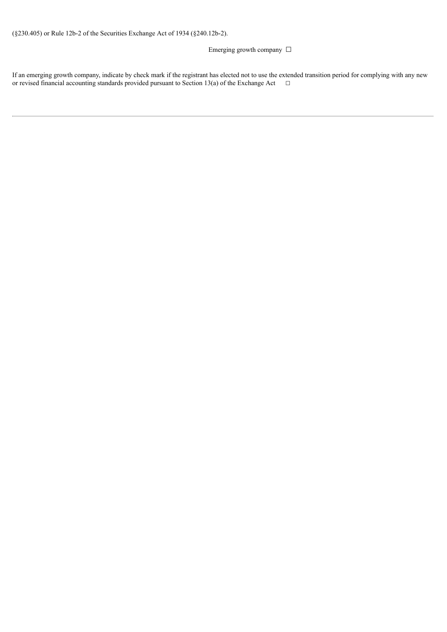## Emerging growth company □

If an emerging growth company, indicate by check mark if the registrant has elected not to use the extended transition period for complying with any new or revised financial accounting standards provided pursuant to Section 13(a) of the Exchange Act  $□$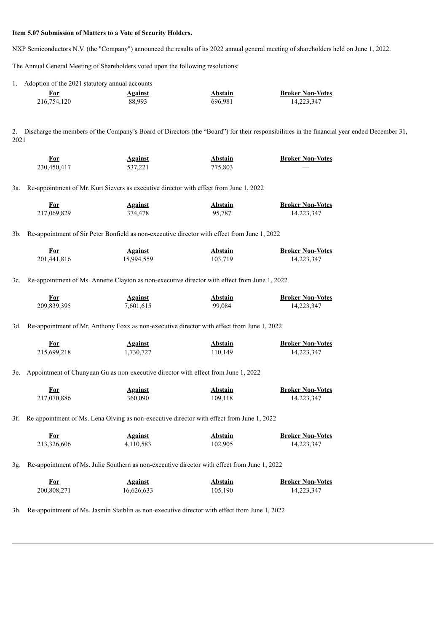#### **Item 5.07 Submission of Matters to a Vote of Security Holders.**

NXP Semiconductors N.V. (the "Company") announced the results of its 2022 annual general meeting of shareholders held on June 1, 2022.

The Annual General Meeting of Shareholders voted upon the following resolutions:

| 1. Adoption of the 2021 statutory annual accounts |                |         |                         |
|---------------------------------------------------|----------------|---------|-------------------------|
| For                                               | <b>Against</b> | Abstain | <b>Broker Non-Votes</b> |
| 216.754.120                                       | 88.993         | 696.981 | 14.223.347              |

2. Discharge the members of the Company's Board of Directors (the "Board") for their responsibilities in the financial year ended December 31, 2021

| For         | <b>Against</b> | <b>Abstain</b> | <b>Broker Non-Votes</b> |
|-------------|----------------|----------------|-------------------------|
| 230,450,417 | 537,221        | 775.803        | ___                     |

3a. Re-appointment of Mr. Kurt Sievers as executive director with effect from June 1, 2022

| For         | <b>Against</b> | Abstain | <b>Broker Non-Votes</b> |
|-------------|----------------|---------|-------------------------|
| 217,069,829 | 374.478        | 95,787  | 14,223,347              |

3b. Re-appointment of Sir Peter Bonfield as non-executive director with effect from June 1, 2022

| For         | <b>Against</b> | Abstain | <b>Broker Non-Votes</b> |
|-------------|----------------|---------|-------------------------|
| 201,441,816 | 15,994,559     | 103,719 | 14,223,347              |

3c. Re-appointment of Ms. Annette Clayton as non-executive director with effect from June 1, 2022

| For         | <b>Against</b> | Abstain | <b>Broker Non-Votes</b> |
|-------------|----------------|---------|-------------------------|
| 209,839,395 | 7,601,615      | 99,084  | 14,223,347              |

3d. Re-appointment of Mr. Anthony Foxx as non-executive director with effect from June 1, 2022

| <u>For</u>  | <b>Against</b> | Abstain | <b>Broker Non-Votes</b> |
|-------------|----------------|---------|-------------------------|
| 215,699,218 | 1,730,727      | 110,149 | 14,223,347              |

3e. Appointment of Chunyuan Gu as non-executive director with effect from June 1, 2022

| <u>For</u>  | <b>Against</b> | Abstain | <b>Broker Non-Votes</b> |
|-------------|----------------|---------|-------------------------|
| 217,070,886 | 360.090        | 109,118 | 14,223,347              |

3f. Re-appointment of Ms. Lena Olving as non-executive director with effect from June 1, 2022

| For<br>____ | <b>Against</b> | Abstain | <b>Broker Non-Votes</b> |
|-------------|----------------|---------|-------------------------|
| 213,326,606 | 4,110,583      | 102,905 | 14,223,347              |

3g. Re-appointment of Ms. Julie Southern as non-executive director with effect from June 1, 2022

| For         | <b>Against</b> | Abstain | <b>Broker Non-Votes</b> |
|-------------|----------------|---------|-------------------------|
| 200,808,271 | 16,626,633     | 105,190 | 14,223,347              |

3h. Re-appointment of Ms. Jasmin Staiblin as non-executive director with effect from June 1, 2022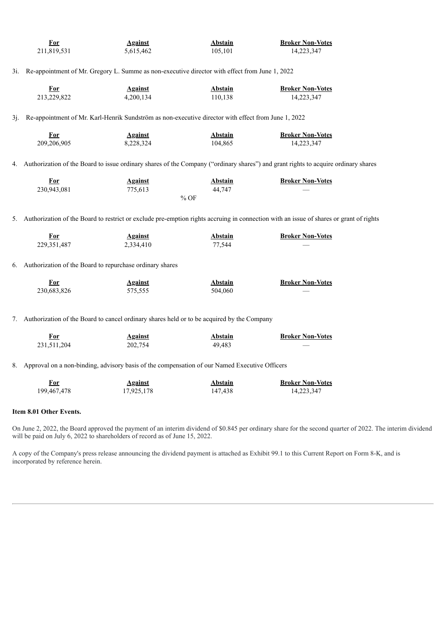|     | For                                                                                            | <b>Against</b>                                                                                      | <b>Abstain</b> | <b>Broker Non-Votes</b>                                                                                                                |  |  |
|-----|------------------------------------------------------------------------------------------------|-----------------------------------------------------------------------------------------------------|----------------|----------------------------------------------------------------------------------------------------------------------------------------|--|--|
|     | 211,819,531                                                                                    | 5,615,462                                                                                           | 105,101        | 14,223,347                                                                                                                             |  |  |
|     |                                                                                                |                                                                                                     |                |                                                                                                                                        |  |  |
| 3i. | Re-appointment of Mr. Gregory L. Summe as non-executive director with effect from June 1, 2022 |                                                                                                     |                |                                                                                                                                        |  |  |
|     |                                                                                                |                                                                                                     |                |                                                                                                                                        |  |  |
|     | <b>For</b>                                                                                     | <b>Against</b>                                                                                      | <b>Abstain</b> | <b>Broker Non-Votes</b>                                                                                                                |  |  |
|     | 213,229,822                                                                                    | 4,200,134                                                                                           | 110,138        | 14,223,347                                                                                                                             |  |  |
| 3j. |                                                                                                | Re-appointment of Mr. Karl-Henrik Sundström as non-executive director with effect from June 1, 2022 |                |                                                                                                                                        |  |  |
|     |                                                                                                |                                                                                                     |                |                                                                                                                                        |  |  |
|     | <b>For</b>                                                                                     | <b>Against</b>                                                                                      | <b>Abstain</b> | <b>Broker Non-Votes</b>                                                                                                                |  |  |
|     | 209,206,905                                                                                    | 8,228,324                                                                                           | 104,865        | 14,223,347                                                                                                                             |  |  |
|     |                                                                                                |                                                                                                     |                |                                                                                                                                        |  |  |
| 4.  |                                                                                                |                                                                                                     |                | Authorization of the Board to issue ordinary shares of the Company ("ordinary shares") and grant rights to acquire ordinary shares     |  |  |
|     |                                                                                                |                                                                                                     |                |                                                                                                                                        |  |  |
|     | <b>For</b>                                                                                     | <b>Against</b>                                                                                      | <b>Abstain</b> | <b>Broker Non-Votes</b>                                                                                                                |  |  |
|     | 230,943,081                                                                                    | 775,613                                                                                             | 44,747         |                                                                                                                                        |  |  |
|     |                                                                                                |                                                                                                     | $%$ OF         |                                                                                                                                        |  |  |
|     |                                                                                                |                                                                                                     |                |                                                                                                                                        |  |  |
| 5.  |                                                                                                |                                                                                                     |                | Authorization of the Board to restrict or exclude pre-emption rights accruing in connection with an issue of shares or grant of rights |  |  |
|     | <b>For</b>                                                                                     | <b>Against</b>                                                                                      | <b>Abstain</b> | <b>Broker Non-Votes</b>                                                                                                                |  |  |
|     | 229,351,487                                                                                    | 2,334,410                                                                                           | 77,544         |                                                                                                                                        |  |  |
|     |                                                                                                |                                                                                                     |                |                                                                                                                                        |  |  |
| 6.  |                                                                                                | Authorization of the Board to repurchase ordinary shares                                            |                |                                                                                                                                        |  |  |
|     |                                                                                                |                                                                                                     |                |                                                                                                                                        |  |  |
|     | <b>For</b>                                                                                     | <b>Against</b>                                                                                      | Abstain        | <b>Broker Non-Votes</b>                                                                                                                |  |  |
|     | 230,683,826                                                                                    | 575,555                                                                                             | 504,060        |                                                                                                                                        |  |  |
|     |                                                                                                |                                                                                                     |                |                                                                                                                                        |  |  |
|     |                                                                                                |                                                                                                     |                |                                                                                                                                        |  |  |
| 7.  | Authorization of the Board to cancel ordinary shares held or to be acquired by the Company     |                                                                                                     |                |                                                                                                                                        |  |  |
|     | <b>For</b>                                                                                     | <b>Against</b>                                                                                      | <b>Abstain</b> | <b>Broker Non-Votes</b>                                                                                                                |  |  |
|     | 231,511,204                                                                                    | 202,754                                                                                             | 49,483         |                                                                                                                                        |  |  |
|     |                                                                                                |                                                                                                     |                |                                                                                                                                        |  |  |
|     |                                                                                                | 8. Approval on a non-binding, advisory basis of the compensation of our Named Executive Officers    |                |                                                                                                                                        |  |  |
|     |                                                                                                |                                                                                                     |                |                                                                                                                                        |  |  |

| <u>For</u>  | <b>Against</b> | Abstain | <b>Broker Non-Votes</b> |
|-------------|----------------|---------|-------------------------|
| 199,467,478 | 17,925,178     | 147,438 | 14,223,347              |

## **Item 8.01 Other Events.**

On June 2, 2022, the Board approved the payment of an interim dividend of \$0.845 per ordinary share for the second quarter of 2022. The interim dividend will be paid on July 6, 2022 to shareholders of record as of June 15, 2022.

A copy of the Company's press release announcing the dividend payment is attached as Exhibit 99.1 to this Current Report on Form 8-K, and is incorporated by reference herein.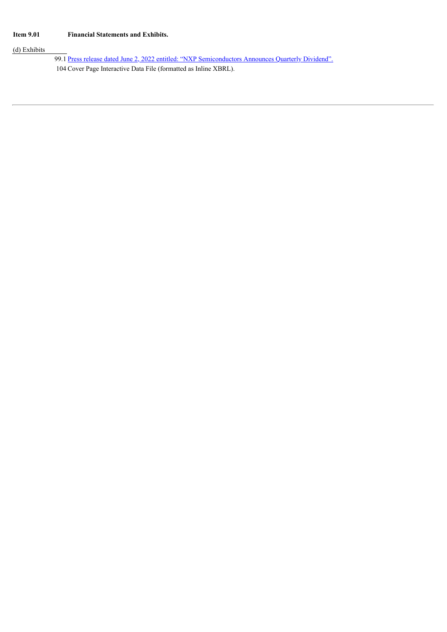## (d) Exhibits

99.1 Press release dated June 2, 2022 entitled: "NXP [Semiconductors](#page-6-0) Announces Quarterly Dividend". 104 Cover Page Interactive Data File (formatted as Inline XBRL).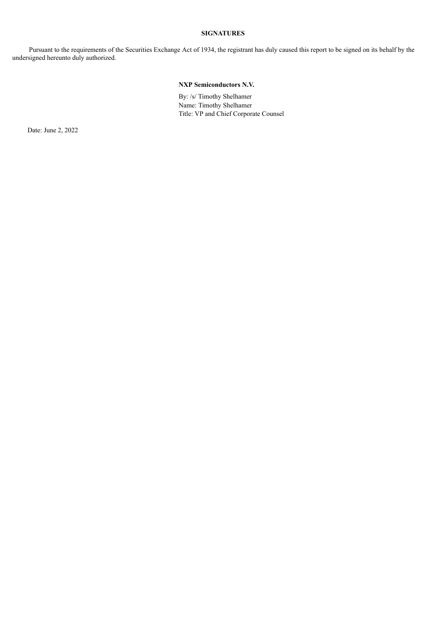#### **SIGNATURES**

Pursuant to the requirements of the Securities Exchange Act of 1934, the registrant has duly caused this report to be signed on its behalf by the undersigned hereunto duly authorized.

### **NXP Semiconductors N.V.**

By: /s/ Timothy Shelhamer Name: Timothy Shelhamer Title: VP and Chief Corporate Counsel

Date: June 2, 2022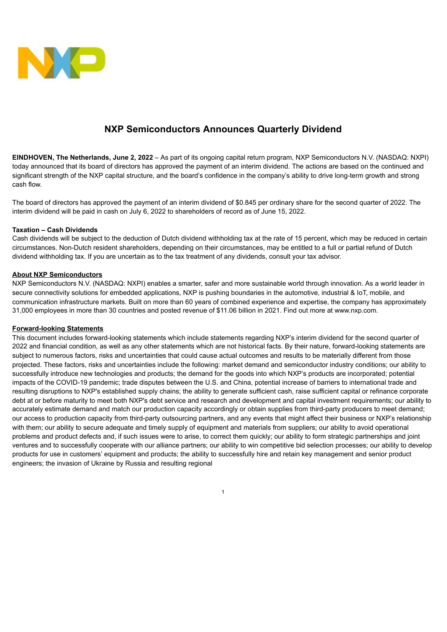<span id="page-6-0"></span>

## **NXP Semiconductors Announces Quarterly Dividend**

**EINDHOVEN, The Netherlands, June 2, 2022** – As part of its ongoing capital return program, NXP Semiconductors N.V. (NASDAQ: NXPI) today announced that its board of directors has approved the payment of an interim dividend. The actions are based on the continued and significant strength of the NXP capital structure, and the board's confidence in the company's ability to drive long-term growth and strong cash flow.

The board of directors has approved the payment of an interim dividend of \$0.845 per ordinary share for the second quarter of 2022. The interim dividend will be paid in cash on July 6, 2022 to shareholders of record as of June 15, 2022.

### **Taxation – Cash Dividends**

Cash dividends will be subject to the deduction of Dutch dividend withholding tax at the rate of 15 percent, which may be reduced in certain circumstances. Non-Dutch resident shareholders, depending on their circumstances, may be entitled to a full or partial refund of Dutch dividend withholding tax. If you are uncertain as to the tax treatment of any dividends, consult your tax advisor.

### **About NXP Semiconductors**

NXP Semiconductors N.V. (NASDAQ: NXPI) enables a smarter, safer and more sustainable world through innovation. As a world leader in secure connectivity solutions for embedded applications, NXP is pushing boundaries in the automotive, industrial & IoT, mobile, and communication infrastructure markets. Built on more than 60 years of combined experience and expertise, the company has approximately 31,000 employees in more than 30 countries and posted revenue of \$11.06 billion in 2021. Find out more at www.nxp.com.

#### **Forward-looking Statements**

This document includes forward-looking statements which include statements regarding NXP's interim dividend for the second quarter of 2022 and financial condition, as well as any other statements which are not historical facts. By their nature, forward-looking statements are subject to numerous factors, risks and uncertainties that could cause actual outcomes and results to be materially different from those projected. These factors, risks and uncertainties include the following: market demand and semiconductor industry conditions; our ability to successfully introduce new technologies and products; the demand for the goods into which NXP's products are incorporated; potential impacts of the COVID-19 pandemic; trade disputes between the U.S. and China, potential increase of barriers to international trade and resulting disruptions to NXP's established supply chains; the ability to generate sufficient cash, raise sufficient capital or refinance corporate debt at or before maturity to meet both NXP's debt service and research and development and capital investment requirements; our ability to accurately estimate demand and match our production capacity accordingly or obtain supplies from third-party producers to meet demand; our access to production capacity from third-party outsourcing partners, and any events that might affect their business or NXP's relationship with them; our ability to secure adequate and timely supply of equipment and materials from suppliers; our ability to avoid operational problems and product defects and, if such issues were to arise, to correct them quickly; our ability to form strategic partnerships and joint ventures and to successfully cooperate with our alliance partners; our ability to win competitive bid selection processes; our ability to develop products for use in customers' equipment and products; the ability to successfully hire and retain key management and senior product engineers; the invasion of Ukraine by Russia and resulting regional

1